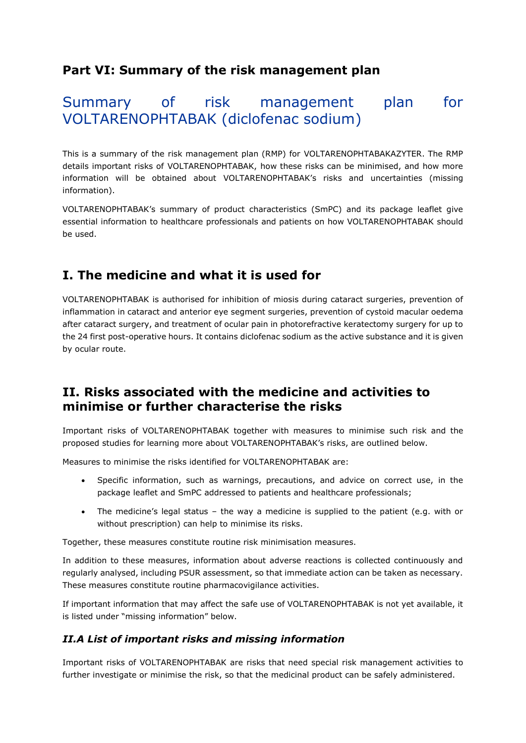### **Part VI: Summary of the risk management plan**

# Summary of risk management plan for VOLTARENOPHTABAK (diclofenac sodium)

This is a summary of the risk management plan (RMP) for VOLTARENOPHTABAKAZYTER. The RMP details important risks of VOLTARENOPHTABAK, how these risks can be minimised, and how more information will be obtained about VOLTARENOPHTABAK's risks and uncertainties (missing information).

VOLTARENOPHTABAK's summary of product characteristics (SmPC) and its package leaflet give essential information to healthcare professionals and patients on how VOLTARENOPHTABAK should be used.

## **I. The medicine and what it is used for**

VOLTARENOPHTABAK is authorised for inhibition of miosis during cataract surgeries, prevention of inflammation in cataract and anterior eye segment surgeries, prevention of cystoid macular oedema after cataract surgery, and treatment of ocular pain in photorefractive keratectomy surgery for up to the 24 first post-operative hours. It contains diclofenac sodium as the active substance and it is given by ocular route.

### **II. Risks associated with the medicine and activities to minimise or further characterise the risks**

Important risks of VOLTARENOPHTABAK together with measures to minimise such risk and the proposed studies for learning more about VOLTARENOPHTABAK's risks, are outlined below.

Measures to minimise the risks identified for VOLTARENOPHTABAK are:

- Specific information, such as warnings, precautions, and advice on correct use, in the package leaflet and SmPC addressed to patients and healthcare professionals;
- The medicine's legal status the way a medicine is supplied to the patient (e.g. with or without prescription) can help to minimise its risks.

Together, these measures constitute routine risk minimisation measures.

In addition to these measures, information about adverse reactions is collected continuously and regularly analysed, including PSUR assessment, so that immediate action can be taken as necessary. These measures constitute routine pharmacovigilance activities.

If important information that may affect the safe use of VOLTARENOPHTABAK is not yet available, it is listed under "missing information" below.

#### *II.A List of important risks and missing information*

Important risks of VOLTARENOPHTABAK are risks that need special risk management activities to further investigate or minimise the risk, so that the medicinal product can be safely administered.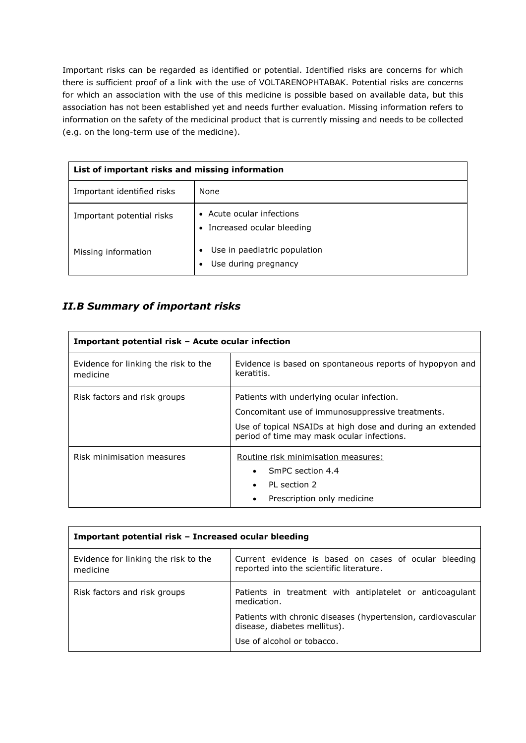Important risks can be regarded as identified or potential. Identified risks are concerns for which there is sufficient proof of a link with the use of VOLTARENOPHTABAK. Potential risks are concerns for which an association with the use of this medicine is possible based on available data, but this association has not been established yet and needs further evaluation. Missing information refers to information on the safety of the medicinal product that is currently missing and needs to be collected (e.g. on the long-term use of the medicine).

| List of important risks and missing information |                                                      |  |
|-------------------------------------------------|------------------------------------------------------|--|
| Important identified risks                      | None                                                 |  |
| Important potential risks                       | Acute ocular infections<br>Increased ocular bleeding |  |
| Missing information                             | Use in paediatric population<br>Use during pregnancy |  |

### *II.B Summary of important risks*

| Important potential risk – Acute ocular infection |                                                                                                                                                                                                           |  |
|---------------------------------------------------|-----------------------------------------------------------------------------------------------------------------------------------------------------------------------------------------------------------|--|
| Evidence for linking the risk to the<br>medicine  | Evidence is based on spontaneous reports of hypopyon and<br>keratitis.                                                                                                                                    |  |
| Risk factors and risk groups                      | Patients with underlying ocular infection.<br>Concomitant use of immunosuppressive treatments.<br>Use of topical NSAIDs at high dose and during an extended<br>period of time may mask ocular infections. |  |
| Risk minimisation measures                        | Routine risk minimisation measures:<br>SmPC section 4.4<br>PI section 2<br>Prescription only medicine                                                                                                     |  |

| Important potential risk – Increased ocular bleeding |                                                                                                   |  |
|------------------------------------------------------|---------------------------------------------------------------------------------------------------|--|
| Evidence for linking the risk to the<br>medicine     | Current evidence is based on cases of ocular bleeding<br>reported into the scientific literature. |  |
| Risk factors and risk groups                         | Patients in treatment with antiplatelet or anticoagulant<br>medication.                           |  |
|                                                      | Patients with chronic diseases (hypertension, cardiovascular<br>disease, diabetes mellitus).      |  |
|                                                      | Use of alcohol or tobacco.                                                                        |  |